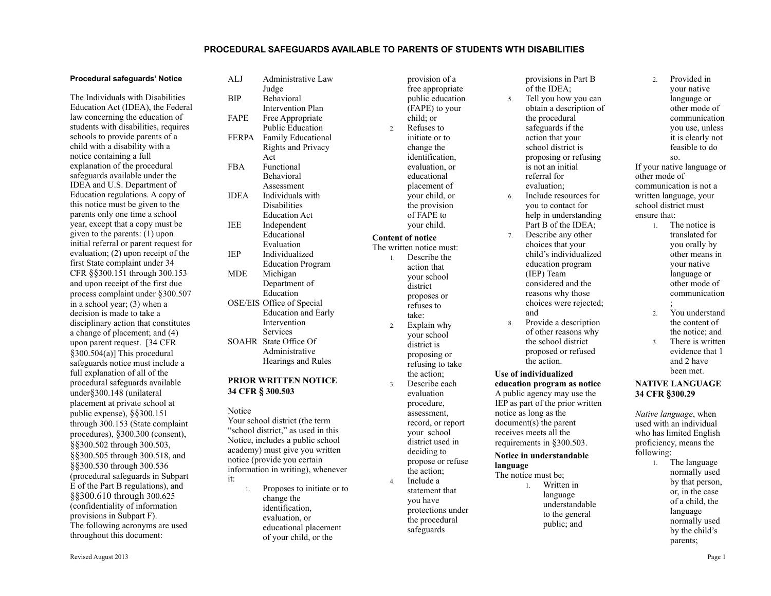#### **PROCEDURAL SAFEGUARDS AVAILABLE TO PARENTS OF STUDENTS WTH DISABILITIES**

#### **Procedural safeguards' Notice**

The Individuals with Disabilities Education Act (IDEA), the Federal law concerning the education of students with disabilities, requires schools to provide parents of a child with a disability with a notice containing a full explanation of the procedural safeguards available under the IDEA and U.S. Department of Education regulations. A copy of this notice must be given to the parents only one time a school year, except that a copy must be given to the parents: (1) upon initial referral or parent request for evaluation; (2) upon receipt of the first State complaint under 34 CFR §§300.151 through 300.153 and upon receipt of the first due process complaint under §300.507 in a school year; (3) when a decision is made to take a disciplinary action that constitutes a change of placement; and (4) upon parent request. [34 CFR §300.504(a)] This procedural safeguards notice must include a full explanation of all of the procedural safeguards available under§300.148 (unilateral placement at private school at public expense), §§300.151 through 300.153 (State complaint procedures), §300.300 (consent), §§300.502 through 300.503, §§300.505 through 300.518, and §§300.530 through 300.536 (procedural safeguards in Subpart E of the Part B regulations), and §§300.610 through 300.625 (confidentiality of information provisions in Subpart F). The following acronyms are used throughout this document:

| <b>ALJ</b>                         | Administrative Law         |
|------------------------------------|----------------------------|
|                                    | Judge                      |
| <b>BIP</b>                         | Behavioral                 |
|                                    | <b>Intervention Plan</b>   |
| FAPE                               | Free Appropriate           |
|                                    | <b>Public Education</b>    |
| <b>FERPA</b>                       | Family Educational         |
|                                    | <b>Rights and Privacy</b>  |
|                                    | Act                        |
| <b>FBA</b>                         | Functional                 |
|                                    | Behavioral                 |
|                                    | Assessment                 |
| <b>IDEA</b>                        | Individuals with           |
|                                    | Disabilities               |
|                                    | <b>Education Act</b>       |
| IEE                                | Independent                |
|                                    | Educational                |
|                                    | Evaluation                 |
| IEP                                | Individualized             |
|                                    | <b>Education Program</b>   |
| <b>MDE</b>                         | Michigan                   |
|                                    | Department of              |
|                                    | Education                  |
|                                    | OSE/EIS Office of Special  |
|                                    | <b>Education and Early</b> |
|                                    | Intervention               |
|                                    | Services                   |
| SOAHR                              | State Office Of            |
|                                    | Administrative             |
|                                    | Hearings and Rules         |
|                                    |                            |
| <b>PRIOR WRITTEN NOTICE</b>        |                            |
| 34 CFR § 300.503                   |                            |
|                                    |                            |
| Notice                             |                            |
| Your school district (the term     |                            |
| "school district," as used in this |                            |

Notice, includes a public school academy) must give you written notice (provide you certain information in writing), whenever it:

> 1. Proposes to initiate or to change the identification, evaluation, or educational placement of your child, or the

free appropriate public education (FAPE) to your child; or 2. Refuses to initiate or to change the identification, evaluation, or educational placement of your child, or the provision of FAPE to your child. **Content of notice** The written notice must: 1. Describe the action that your school district proposes or refuses to take: 2. Explain why your school district is proposing or refusing to take the action; 3. Describe each evaluation procedure, assessment, record, or report your school

> district used in deciding to propose or refuse the action; 4. Include a statement that you have protections under the procedural safeguards

provision of a

provisions in Part B of the IDEA; 5. Tell you how you can obtain a description of

- the procedural safeguards if the action that your school district is proposing or refusing is not an initial referral for evaluation;
- 6. Include resources for you to contact for help in understanding Part B of the IDEA;
- 7. Describe any other choices that your child's individualized education program (IEP) Team considered and the reasons why those choices were rejected; and
- 8. Provide a description of other reasons why the school district proposed or refused the action.

#### **Use of individualized**

**education program as notice** A public agency may use the IEP as part of the prior written notice as long as the document(s) the parent receives meets all the requirements in §300.503.

#### **Notice in understandable language**

The notice must be;

1. Written in language understandable to the general public; and

your native language or other mode of communication you use, unless it is clearly not feasible to do so. If your native language or other mode of communication is not a written language, your school district must ensure that:

2. Provided in

- 1. The notice is translated for you orally by other means in your native language or other mode of communication
- ; 2. You understand the content of the notice; and
- 3. There is written evidence that 1 and 2 have been met.

## **NATIVE LANGUAGE 34 CFR §300.29**

*Native language*, when used with an individual who has limited English proficiency, means the following:

1. The language normally used by that person, or, in the case of a child, the language normally used by the child's parents;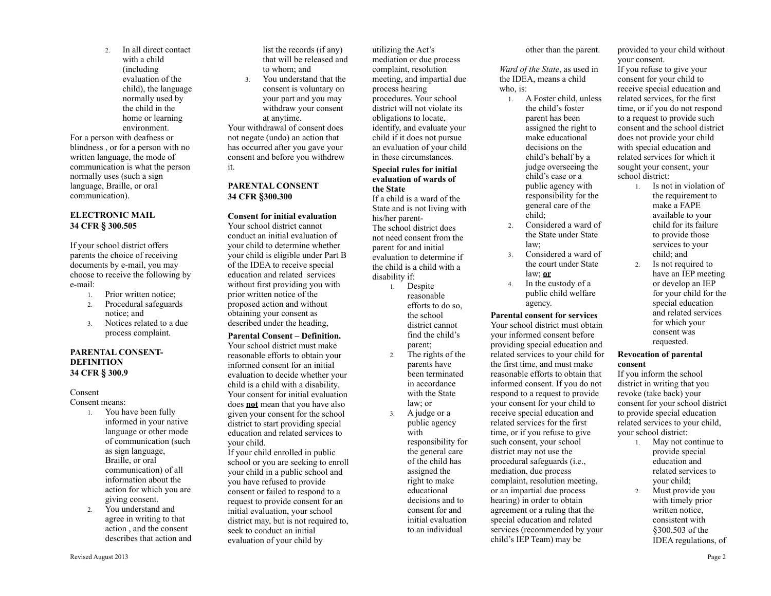2. In all direct contact with a child (including evaluation of the child), the language normally used by the child in the home or learning environment. For a person with deafness or

blindness , or for a person with no written language, the mode of communication is what the person normally uses (such a sign language, Braille, or oral communication).

## **ELECTRONIC MAIL 34 CFR § 300.505**

If your school district offers parents the choice of receiving documents by e-mail, you may choose to receive the following by e-mail:

- 1. Prior written notice;
- 2. Procedural safeguards notice; and
- 3. Notices related to a due process complaint.

### **PARENTAL CONSENT-DEFINITION 34 CFR § 300.9**

#### Consent

Consent means:

- 1. You have been fully informed in your native language or other mode of communication (such as sign language, Braille, or oral communication) of all information about the action for which you are giving consent.
- 2. You understand and agree in writing to that action , and the consent describes that action and

list the records (if any) that will be released and to whom; and

3. You understand that the consent is voluntary on your part and you may withdraw your consent at anytime.

Your withdrawal of consent does not negate (undo) an action that has occurred after you gave your consent and before you withdrew it.

## **PARENTAL CONSENT 34 CFR §300.300**

**Consent for initial evaluation** Your school district cannot conduct an initial evaluation of your child to determine whether your child is eligible under Part B of the IDEA to receive special education and related services without first providing you with prior written notice of the proposed action and without obtaining your consent as described under the heading,

## **Parental Consent – Definition.**

Your school district must make reasonable efforts to obtain your informed consent for an initial evaluation to decide whether your child is a child with a disability. Your consent for initial evaluation does **not** mean that you have also given your consent for the school district to start providing special education and related services to your child.

If your child enrolled in public school or you are seeking to enroll your child in a public school and you have refused to provide consent or failed to respond to a request to provide consent for an initial evaluation, your school district may, but is not required to, seek to conduct an initial evaluation of your child by

utilizing the Act's mediation or due process complaint, resolution meeting, and impartial due process hearing procedures. Your school district will not violate its obligations to locate, identify, and evaluate your child if it does not pursue an evaluation of your child in these circumstances.

#### **Special rules for initial evaluation of wards of the State**

If a child is a ward of the State and is not living with his/her parent-The school district does not need consent from the parent for and initial evaluation to determine if the child is a child with a disability if:

- 1. Despite reasonable efforts to do so, the school district cannot find the child's parent;
- 2. The rights of the parents have been terminated in accordance with the State
- law; or 3. A judge or a public agency with responsibility for the general care of the child has assigned the right to make educational decisions and to consent for and initial evaluation to an individual

#### other than the parent.

*Ward of the State*, as used in the IDEA, means a child who, is:

- 1. A Foster child, unless the child's foster parent has been assigned the right to make educational decisions on the child's behalf by a judge overseeing the child's case or a public agency with responsibility for the general care of the child;
- 2. Considered a ward of the State under State  $law<sup>2</sup>$
- 3. Considered a ward of the court under State law; **or**
- 4. In the custody of a public child welfare agency.

# **Parental consent for services** Your school district must obtain your informed consent before

providing special education and related services to your child for the first time, and must make reasonable efforts to obtain that informed consent. If you do not respond to a request to provide your consent for your child to receive special education and related services for the first time, or if you refuse to give such consent, your school district may not use the procedural safeguards (i.e., mediation, due process complaint, resolution meeting, or an impartial due process hearing) in order to obtain agreement or a ruling that the special education and related services (recommended by your child's IEP Team) may be

provided to your child without your consent.

If you refuse to give your consent for your child to receive special education and related services, for the first time, or if you do not respond to a request to provide such consent and the school district does not provide your child with special education and related services for which it sought your consent, your school district:

- 1. Is not in violation of the requirement to make a FAPE available to your child for its failure to provide those services to your child; and
- 2. Is not required to have an IEP meeting or develop an IEP for your child for the special education and related services for which your consent was requested.

#### **Revocation of parental consent**

If you inform the school district in writing that you revoke (take back) your consent for your school district to provide special education related services to your child, your school district:

- 1. May not continue to provide special education and related services to your child;
- 2. Must provide you with timely prior written notice, consistent with §300.503 of the IDEA regulations, of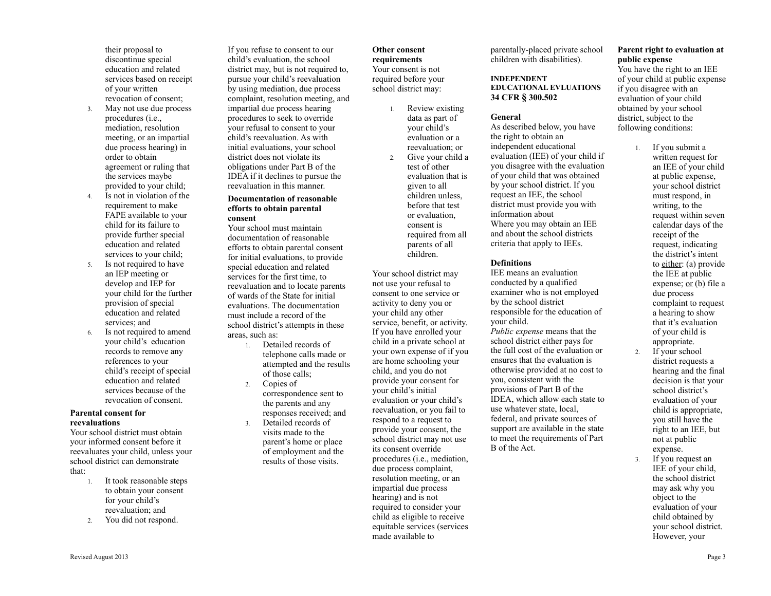their proposal to discontinue special education and related services based on receipt of your written revocation of consent;

- 3. May not use due process procedures (i.e., mediation, resolution meeting, or an impartial due process hearing) in order to obtain agreement or ruling that the services maybe provided to your child;
- 4. Is not in violation of the requirement to make FAPE available to your child for its failure to provide further special education and related services to your child;
- 5. Is not required to have an IEP meeting or develop and IEP for your child for the further provision of special education and related services; and
- 6. Is not required to amend your child's education records to remove any references to your child's receipt of special education and related services because of the revocation of consent.

#### **Parental consent for reevaluations**

Your school district must obtain your informed consent before it reevaluates your child, unless your school district can demonstrate that:

- 1. It took reasonable steps to obtain your consent for your child's reevaluation; and
- 2. You did not respond.

If you refuse to consent to our child's evaluation, the school district may, but is not required to. pursue your child's reevaluation by using mediation, due process complaint, resolution meeting, and impartial due process hearing procedures to seek to override your refusal to consent to your child's reevaluation. As with initial evaluations, your school district does not violate its obligations under Part B of the IDEA if it declines to pursue the reevaluation in this manner.

## **Documentation of reasonable efforts to obtain parental consent**

Your school must maintain documentation of reasonable efforts to obtain parental consent for initial evaluations, to provide special education and related services for the first time, to reevaluation and to locate parents of wards of the State for initial evaluations. The documentation must include a record of the school district's attempts in these areas, such as:

- 1. Detailed records of telephone calls made or attempted and the results of those calls;
- 2. Copies of correspondence sent to the parents and any responses received; and
- 3. Detailed records of visits made to the parent's home or place of employment and the results of those visits.

#### **Other consent requirements**

Your consent is not required before your school district may:

- 1. Review existing data as part of your child's evaluation or a reevaluation; or 2. Give your child a test of other
	- evaluation that is given to all children unless, before that test or evaluation, consent is required from all parents of all children.

Your school district may not use your refusal to consent to one service or activity to deny you or your child any other service, benefit, or activity. If you have enrolled your child in a private school at your own expense of if you are home schooling your child, and you do not provide your consent for your child's initial evaluation or your child's reevaluation, or you fail to respond to a request to provide your consent, the school district may not use its consent override procedures (i.e., mediation, due process complaint, resolution meeting, or an impartial due process hearing) and is not required to consider your child as eligible to receive equitable services (services made available to

parentally-placed private school children with disabilities).

### **INDEPENDENT EDUCATIONAL EVLUATIONS 34 CFR § 300.502**

## **General**

As described below, you have the right to obtain an independent educational evaluation (IEE) of your child if you disagree with the evaluation of your child that was obtained by your school district. If you request an IEE, the school district must provide you with information about Where you may obtain an IEE and about the school districts criteria that apply to IEEs.

## **Definitions**

IEE means an evaluation conducted by a qualified examiner who is not employed by the school district responsible for the education of your child. *Public expense* means that the school district either pays for

the full cost of the evaluation or ensures that the evaluation is otherwise provided at no cost to you, consistent with the provisions of Part B of the IDEA, which allow each state to use whatever state, local, federal, and private sources of support are available in the state to meet the requirements of Part B of the Act.

## **Parent right to evaluation at public expense**

You have the right to an IEE of your child at public expense if you disagree with an evaluation of your child obtained by your school district, subject to the following conditions:

- 1. If you submit a written request for an IEE of your child at public expense, your school district must respond, in writing, to the request within seven calendar days of the receipt of the request, indicating the district's intent to either: (a) provide the IEE at public expense; or (b) file a due process complaint to request a hearing to show that it's evaluation of your child is appropriate.
- 2. If your school district requests a hearing and the final decision is that your school district's evaluation of your child is appropriate, you still have the right to an IEE, but not at public expense.
- 3. If you request an IEE of your child, the school district may ask why you object to the evaluation of your child obtained by your school district. However, your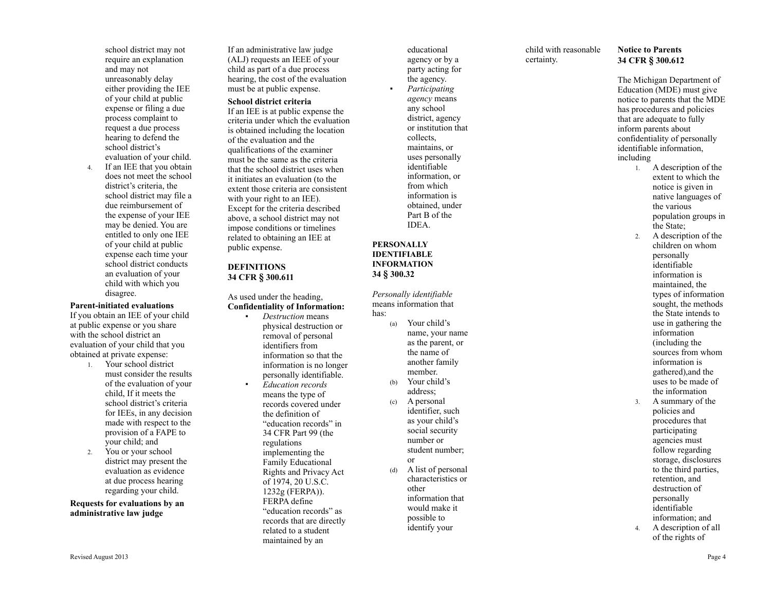school district may not require an explanation and may not unreasonably delay either providing the IEE of your child at public expense or filing a due process complaint to request a due process hearing to defend the school district's evaluation of your child.

4. If an IEE that you obtain does not meet the school district's criteria, the school district may file a due reimbursement of the expense of your IEE may be denied. You are entitled to only one IEE of your child at public expense each time your school district conducts an evaluation of your child with which you disagree.

#### **Parent-initiated evaluations**

If you obtain an IEE of your child at public expense or you share with the school district an evaluation of your child that you obtained at private expense:

- 1. Your school district must consider the results of the evaluation of your child, If it meets the school district's criteria for IEEs, in any decision made with respect to the provision of a FAPE to your child; and
- 2. You or your school district may present the evaluation as evidence at due process hearing regarding your child.

**Requests for evaluations by an administrative law judge**

If an administrative law judge (ALJ) requests an IEEE of your child as part of a due process hearing, the cost of the evaluation must be at public expense.

#### **School district criteria**

If an IEE is at public expense the criteria under which the evaluation is obtained including the location of the evaluation and the qualifications of the examiner must be the same as the criteria that the school district uses when it initiates an evaluation (to the extent those criteria are consistent with your right to an IEE). Except for the criteria described above, a school district may not impose conditions or timelines related to obtaining an IEE at public expense.

## **DEFINITIONS 34 CFR § 300.611**

As used under the heading, **Confidentiality of Information:**

- § *Destruction* means physical destruction or removal of personal identifiers from information so that the information is no longer personally identifiable.
- § *Education records* means the type of records covered under the definition of "education records" in 34 CFR Part 99 (the regulations implementing the Family Educational Rights and Privacy Act of 1974, 20 U.S.C. 1232g (FERPA)). FERPA define "education records" as records that are directly related to a student maintained by an

educational agency or by a party acting for the agency. § *Participating agency* means any school district, agency or institution that collects, maintains, or uses personally identifiable information, or from which information is obtained, under Part B of the IDEA.

## **PERSONALLY IDENTIFIABLE INFORMATION 34 § 300.32**

*Personally identifiable* means information that has:

- (a) Your child's name, your name as the parent, or the name of another family member.
- (b) Your child's address;
- (c) A personal identifier, such as your child's social security number or student number;
- or (d) A list of personal characteristics or other information that would make it possible to identify your

child with reasonable certainty.

## **Notice to Parents 34 CFR § 300.612**

The Michigan Department of Education (MDE) must give notice to parents that the MDE has procedures and policies that are adequate to fully inform parents about confidentiality of personally identifiable information, including

- 1. A description of the extent to which the notice is given in native languages of the various population groups in the State;
- 2. A description of the children on whom personally identifiable information is maintained, the types of information sought, the methods the State intends to use in gathering the information (including the sources from whom information is gathered),and the uses to be made of the information
- 3. A summary of the policies and procedures that participating agencies must follow regarding storage, disclosures to the third parties, retention, and destruction of personally identifiable information; and
- 4. A description of all of the rights of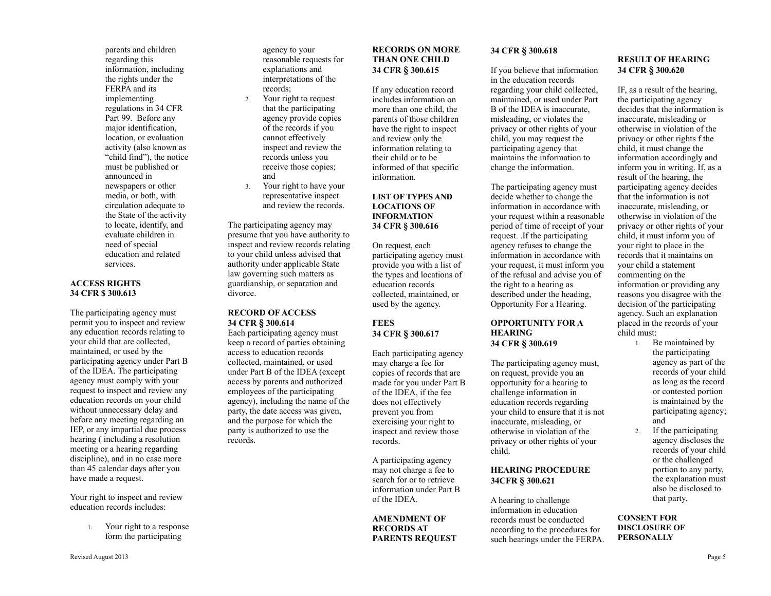parents and children regarding this information, including the rights under the FERPA and its implementing regulations in 34 CFR Part 99. Before any major identification, location, or evaluation activity (also known as "child find"), the notice must be published or announced in newspapers or other media, or both, with circulation adequate to the State of the activity to locate, identify, and evaluate children in need of special education and related services.

## **ACCESS RIGHTS 34 CFR \$ 300.613**

The participating agency must permit you to inspect and review any education records relating to your child that are collected, maintained, or used by the participating agency under Part B of the IDEA. The participating agency must comply with your request to inspect and review any education records on your child without unnecessary delay and before any meeting regarding an IEP, or any impartial due process hearing ( including a resolution meeting or a hearing regarding discipline), and in no case more than 45 calendar days after you have made a request.

Your right to inspect and review education records includes:

> 1. Your right to a response form the participating

agency to your reasonable requests for explanations and interpretations of the records;

- 2. Your right to request that the participating agency provide copies of the records if you cannot effectively inspect and review the records unless you receive those copies; and
- 3. Your right to have your representative inspect and review the records.

The participating agency may presume that you have authority to inspect and review records relating to your child unless advised that authority under applicable State law governing such matters as guardianship, or separation and divorce.

## **RECORD OF ACCESS 34 CFR § 300.614**

Each participating agency must keep a record of parties obtaining access to education records collected, maintained, or used under Part B of the IDEA (except access by parents and authorized employees of the participating agency), including the name of the party, the date access was given, and the purpose for which the party is authorized to use the records.

#### **RECORDS ON MORE THAN ONE CHILD 34 CFR § 300.615**

If any education record includes information on more than one child, the parents of those children have the right to inspect and review only the information relating to their child or to be informed of that specific information.

#### **LIST OF TYPES AND LOCATIONS OF INFORMATION 34 CFR § 300.616**

On request, each participating agency must provide you with a list of the types and locations of education records collected, maintained, or used by the agency.

## **FEES 34 CFR § 300.617**

Each participating agency may charge a fee for copies of records that are made for you under Part B of the IDEA, if the fee does not effectively prevent you from exercising your right to inspect and review those records.

A participating agency may not charge a fee to search for or to retrieve information under Part B of the IDEA.

**AMENDMENT OF RECORDS AT PARENTS REQUEST**

## **34 CFR § 300.618**

If you believe that information in the education records regarding your child collected, maintained, or used under Part B of the IDEA is inaccurate, misleading, or violates the privacy or other rights of your child, you may request the participating agency that maintains the information to change the information.

The participating agency must decide whether to change the information in accordance with your request within a reasonable period of time of receipt of your request. .If the participating agency refuses to change the information in accordance with your request, it must inform you of the refusal and advise you of the right to a hearing as described under the heading, Opportunity For a Hearing.

### **OPPORTUNITY FOR A HEARING 34 CFR § 300.619**

The participating agency must, on request, provide you an opportunity for a hearing to challenge information in education records regarding your child to ensure that it is not inaccurate, misleading, or otherwise in violation of the privacy or other rights of your child.

## **HEARING PROCEDURE 34CFR § 300.621**

A hearing to challenge information in education records must be conducted according to the procedures for such hearings under the FERPA.

## **RESULT OF HEARING 34 CFR § 300.620**

IF, as a result of the hearing, the participating agency decides that the information is inaccurate, misleading or otherwise in violation of the privacy or other rights f the child, it must change the information accordingly and inform you in writing. If, as a result of the hearing, the participating agency decides that the information is not inaccurate, misleading, or otherwise in violation of the privacy or other rights of your child, it must inform you of your right to place in the records that it maintains on your child a statement commenting on the information or providing any reasons you disagree with the decision of the participating agency. Such an explanation placed in the records of your child must:

- 1. Be maintained by the participating agency as part of the records of your child as long as the record or contested portion is maintained by the participating agency; and
- 2. If the participating agency discloses the records of your child or the challenged portion to any party, the explanation must also be disclosed to that party.

#### **CONSENT FOR DISCLOSURE OF PERSONALLY**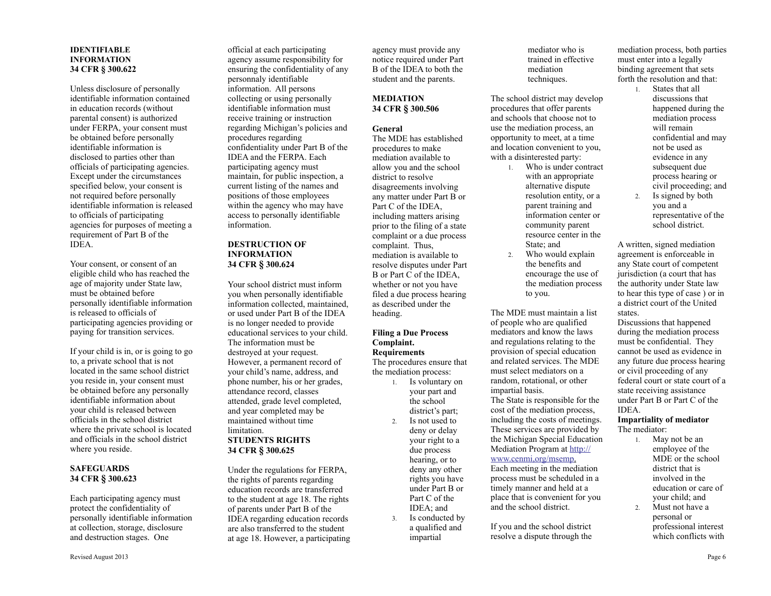### **IDENTIFIABLE INFORMATION 34 CFR § 300.622**

Unless disclosure of personally identifiable information contained in education records (without parental consent) is authorized under FERPA, your consent must be obtained before personally identifiable information is disclosed to parties other than officials of participating agencies. Except under the circumstances specified below, your consent is not required before personally identifiable information is released to officials of participating agencies for purposes of meeting a requirement of Part B of the IDEA.

Your consent, or consent of an eligible child who has reached the age of majority under State law, must be obtained before personally identifiable information is released to officials of participating agencies providing or paying for transition services.

If your child is in, or is going to go to, a private school that is not located in the same school district you reside in, your consent must be obtained before any personally identifiable information about your child is released between officials in the school district where the private school is located and officials in the school district where you reside.

## **SAFEGUARDS 34 CFR § 300.623**

Each participating agency must protect the confidentiality of personally identifiable information at collection, storage, disclosure and destruction stages. One

official at each participating agency assume responsibility for ensuring the confidentiality of any personnaly identifiable information. All persons collecting or using personally identifiable information must receive training or instruction regarding Michigan's policies and procedures regarding confidentiality under Part B of the IDEA and the FERPA. Each participating agency must maintain, for public inspection, a current listing of the names and positions of those employees within the agency who may have access to personally identifiable information.

## **DESTRUCTION OF INFORMATION 34 CFR § 300.624**

Your school district must inform you when personally identifiable information collected, maintained, or used under Part B of the IDEA is no longer needed to provide educational services to your child. The information must be destroyed at your request. However, a permanent record of your child's name, address, and phone number, his or her grades, attendance record, classes attended, grade level completed, and year completed may be maintained without time limitation. **STUDENTS RIGHTS 34 CFR § 300.625**

Under the regulations for FERPA, the rights of parents regarding education records are transferred to the student at age 18. The rights of parents under Part B of the IDEA regarding education records are also transferred to the student at age 18. However, a participating

agency must provide any notice required under Part B of the IDEA to both the student and the parents.

## **MEDIATION 34 CFR § 300.506**

### **General**

The MDE has established procedures to make mediation available to allow you and the school district to resolve disagreements involving any matter under Part B or Part C of the IDEA, including matters arising prior to the filing of a state complaint or a due process complaint. Thus, mediation is available to resolve disputes under Part  $B$  or Part  $\tilde{C}$  of the IDEA. whether or not you have filed a due process hearing as described under the heading.

#### **Filing a Due Process Complaint. Requirements**

The procedures ensure that the mediation process:

> 1. Is voluntary on your part and the school district's part; 2. Is not used to deny or delay your right to a due process hearing, or to deny any other rights you have under Part B or Part C of the IDEA; and 3. Is conducted by

a qualified and impartial

mediator who is trained in effective mediation techniques.

The school district may develop procedures that offer parents and schools that choose not to use the mediation process, an opportunity to meet, at a time and location convenient to you, with a disinterested party:

- 1. Who is under contract with an appropriate alternative dispute resolution entity, or a parent training and information center or community parent resource center in the State; and
- 2. Who would explain the benefits and encourage the use of the mediation process to you.

The MDE must maintain a list of people who are qualified mediators and know the laws and regulations relating to the provision of special education and related services. The MDE must select mediators on a random, rotational, or other impartial basis. The State is responsible for the cost of the mediation process, including the costs of meetings. These services are provided by the Michigan Special Education Mediation Program at http://

## [www.cenmi,org/msemp.](http://www.cenmi,org/msemp)

Each meeting in the mediation process must be scheduled in a timely manner and held at a place that is convenient for you and the school district.

If you and the school district resolve a dispute through the mediation process, both parties must enter into a legally binding agreement that sets forth the resolution and that:

- 1. States that all discussions that happened during the mediation process will remain confidential and may not be used as evidence in any subsequent due process hearing or civil proceeding; and
- 2. Is signed by both you and a representative of the school district.

A written, signed mediation agreement is enforceable in any State court of competent jurisdiction (a court that has the authority under State law to hear this type of case ) or in a district court of the United states.

Discussions that happened during the mediation process must be confidential. They cannot be used as evidence in any future due process hearing or civil proceeding of any federal court or state court of a state receiving assistance under Part B or Part C of the IDEA.

## **Impartiality of mediator** The mediator:

- 1. May not be an employee of the MDE or the school district that is involved in the education or care of your child; and
- 2. Must not have a personal or professional interest which conflicts with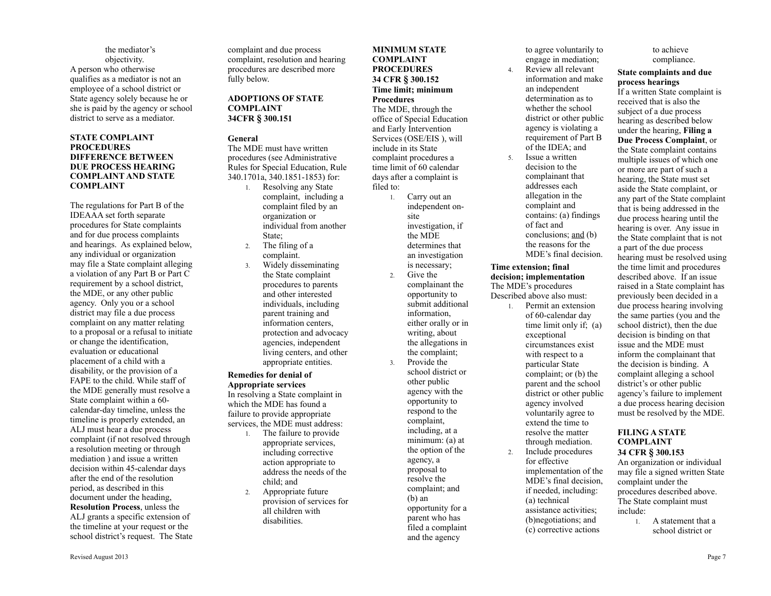the mediator's objectivity. A person who otherwise qualifies as a mediator is not an employee of a school district or State agency solely because he or she is paid by the agency or school district to serve as a mediator.

## **STATE COMPLAINT PROCEDURES DIFFERENCE BETWEEN DUE PROCESS HEARING COMPLAINT AND STATE COMPLAINT**

The regulations for Part B of the IDEAAA set forth separate procedures for State complaints and for due process complaints and hearings. As explained below, any individual or organization may file a State complaint alleging a violation of any Part B or Part C requirement by a school district, the MDE, or any other public agency. Only you or a school district may file a due process complaint on any matter relating to a proposal or a refusal to initiate or change the identification, evaluation or educational placement of a child with a disability, or the provision of a FAPE to the child. While staff of the MDE generally must resolve a State complaint within a 60 calendar-day timeline, unless the timeline is properly extended, an ALJ must hear a due process complaint (if not resolved through a resolution meeting or through mediation ) and issue a written decision within 45-calendar days after the end of the resolution period, as described in this document under the heading, **Resolution Process**, unless the ALJ grants a specific extension of the timeline at your request or the school district's request. The State

complaint and due process complaint, resolution and hearing procedures are described more fully below.

## **ADOPTIONS OF STATE COMPLAINT 34CFR § 300.151**

#### **General**

The MDE must have written procedures (see Administrative Rules for Special Education, Rule 340.1701a, 340.1851-1853) for:

- 1. Resolving any State complaint, including a complaint filed by an organization or individual from another State;
- 2. The filing of a complaint.

3. Widely disseminating the State complaint procedures to parents and other interested individuals, including parent training and information centers, protection and advocacy agencies, independent living centers, and other appropriate entities.

## **Remedies for denial of Appropriate services**

In resolving a State complaint in which the MDE has found a failure to provide appropriate services, the MDE must address:

- 1. The failure to provide appropriate services, including corrective action appropriate to address the needs of the child; and
- 2. Appropriate future provision of services for all children with disabilities.

#### **MINIMUM STATE COMPLAINT PROCEDURES 34 CFR § 300.152 Time limit; minimum**

**Procedures**

The MDE, through the office of Special Education and Early Intervention Services (OSE/EIS ), will include in its State complaint procedures a time limit of 60 calendar days after a complaint is filed to:

1. Carry out an independent onsite investigation, if the MDE determines that an investigation is necessary; 2. Give the complainant the opportunity to submit additional information, either orally or in writing, about the allegations in the complaint; 3. Provide the school district or other public agency with the opportunity to respond to the complaint, including, at a minimum: (a) at the option of the agency, a proposal to resolve the complaint; and (b) an opportunity for a parent who has filed a complaint

and the agency

to agree voluntarily to engage in mediation;

- 4. Review all relevant information and make an independent determination as to whether the school district or other public agency is violating a requirement of Part B of the IDEA; and
- 5. Issue a written decision to the complainant that addresses each allegation in the complaint and contains: (a) findings of fact and conclusions; and (b) the reasons for the MDE's final decision.

#### **Time extension; final decision; implementation** The MDE's procedures

Described above also must:

- 1. Permit an extension of 60-calendar day time limit only if; (a) exceptional circumstances exist with respect to a particular State complaint; or (b) the parent and the school district or other public agency involved voluntarily agree to extend the time to resolve the matter
- through mediation.
- 2. Include procedures for effective implementation of the MDE's final decision, if needed, including: (a) technical assistance activities; (b)negotiations; and (c) corrective actions

## to achieve compliance.

#### **State complaints and due process hearings**

If a written State complaint is received that is also the subject of a due process hearing as described below under the hearing, **Filing a Due Process Complaint**, or the State complaint contains multiple issues of which one or more are part of such a hearing, the State must set aside the State complaint, or any part of the State complaint that is being addressed in the due process hearing until the hearing is over. Any issue in the State complaint that is not a part of the due process hearing must be resolved using the time limit and procedures described above. If an issue raised in a State complaint has previously been decided in a due process hearing involving the same parties (you and the school district), then the due decision is binding on that issue and the MDE must inform the complainant that the decision is binding. A complaint alleging a school district's or other public agency's failure to implement a due process hearing decision must be resolved by the MDE.

#### **FILING A STATE COMPLAINT 34 CFR § 300.153**

An organization or individual may file a signed written State complaint under the procedures described above. The State complaint must include:

> 1. A statement that a school district or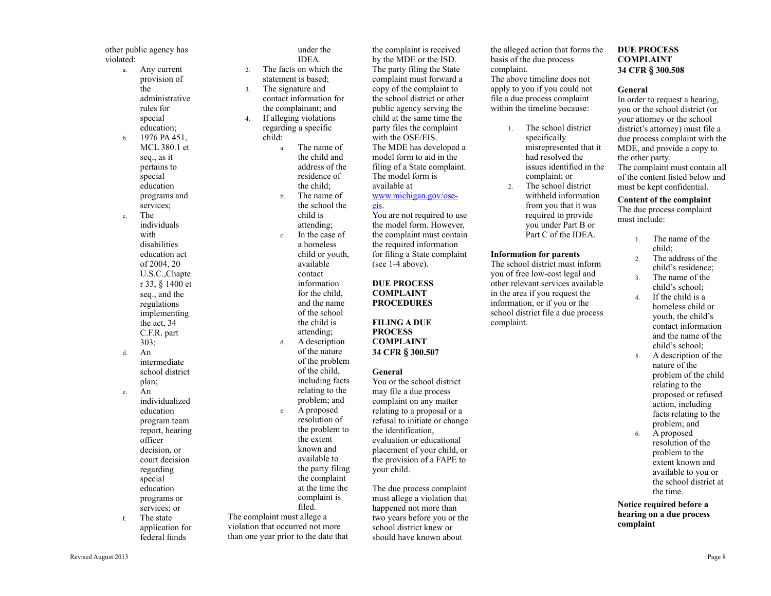other public agency has violated:

a. Any current provision of the administrative rules for special education; b. 1976 PA 451, MCL 380.1 et seq., as it pertains to special education programs and services; c. The individuals with disabilities education act of 2004, 20 U.S.C.,Chapte r 33, § 1400 et seq., and the regulations implementing the act, 34 C.F.R. part 303; d. An intermediate school district plan; e. An individualized education program team report, hearing officer decision, or court decision regarding special education programs or services; or f. The state application for

federal funds

under the IDEA. 2. The facts on which the statement is based; 3. The signature and contact information for

- the complainant; and 4. If alleging violations regarding a specific child:
	- a. The name of the child and address of the residence of the child; b. The name of the school the child is attending; c. In the case of a homeless child or youth, available contact information for the child, and the name of the school the child is attending; d. A description of the nature

of the problem of the child, including facts relating to the problem; and e. A proposed resolution of the problem to the extent known and available to the party filing the complaint at the time the complaint is filed. The complaint must allege a

violation that occurred not more than one year prior to the date that

the complaint is received by the MDE or the ISD. The party filing the State complaint must forward a copy of the complaint to the school district or other public agency serving the child at the same time the party files the complaint with the OSE/EIS. The MDE has developed a model form to aid in the filing of a State complaint. The model form is available at [www.michigan.gov/ose-](http://www.michigan.gov/ose-eis)

# eis.

You are not required to use the model form. However, the complaint must contain the required information for filing a State complaint (see 1-4 above).

#### **DUE PROCESS COMPLAINT PROCEDURES**

**FILING A DUE PROCESS COMPLAINT 34 CFR § 300.507**

## **General**

You or the school district may file a due process complaint on any matter relating to a proposal or a refusal to initiate or change the identification, evaluation or educational placement of your child, or the provision of a FAPE to your child.

The due process complaint must allege a violation that happened not more than two years before you or the school district knew or should have known about

the alleged action that forms the basis of the due process complaint. The above timeline does not apply to you if you could not file a due process complaint within the timeline because:

- 1. The school district specifically misrepresented that it had resolved the issues identified in the complaint; or
- 2. The school district withheld information from you that it was required to provide you under Part B or Part C of the IDEA.

## **Information for parents**

The school district must inform you of free low-cost legal and other relevant services available in the area if you request the information, or if you or the school district file a due process complaint.

## **DUE PROCESS COMPLAINT 34 CFR § 300.508**

## **General**

In order to request a hearing, you or the school district (or your attorney or the school district's attorney) must file a due process complaint with the MDE, and provide a copy to the other party. The complaint must contain all of the content listed below and must be kept confidential.

**Content of the complaint**

The due process complaint must include:

- 1. The name of the child;
- 2. The address of the child's residence;
- 3. The name of the child's school;
- 4. If the child is a homeless child or youth, the child's contact information and the name of the child's school;
- 5. A description of the nature of the problem of the child relating to the proposed or refused action, including facts relating to the problem; and
- 6. A proposed resolution of the problem to the extent known and available to you or the school district at the time.

**Notice required before a hearing on a due process complaint**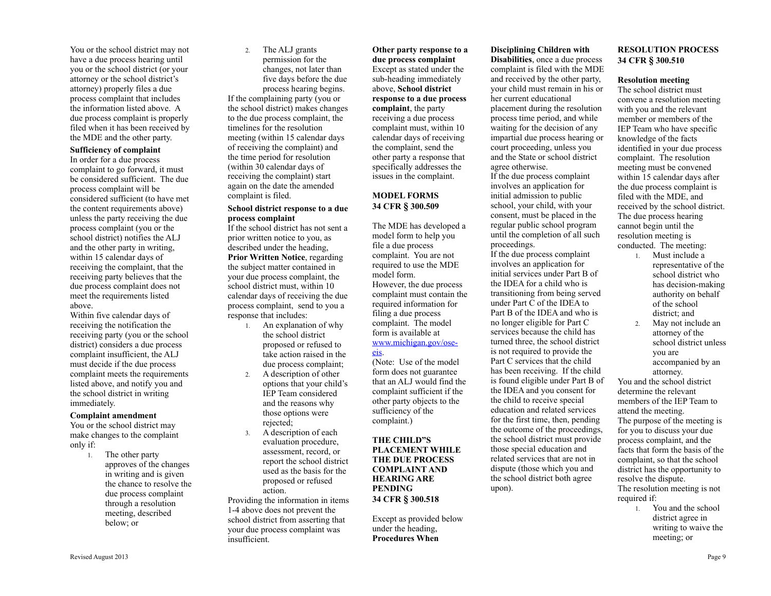You or the school district may not have a due process hearing until you or the school district (or your attorney or the school district's attorney) properly files a due process complaint that includes the information listed above. A due process complaint is properly filed when it has been received by the MDE and the other party.

## **Sufficiency of complaint**

In order for a due process complaint to go forward, it must be considered sufficient. The due process complaint will be considered sufficient (to have met the content requirements above) unless the party receiving the due process complaint (you or the school district) notifies the ALJ and the other party in writing, within 15 calendar days of receiving the complaint, that the receiving party believes that the due process complaint does not meet the requirements listed above.

Within five calendar days of receiving the notification the receiving party (you or the school district) considers a due process complaint insufficient, the ALJ must decide if the due process complaint meets the requirements listed above, and notify you and the school district in writing immediately.

#### **Complaint amendment**

You or the school district may make changes to the complaint only if:

- 1. The other party approves of the changes in writing and is given the chance to resolve the due process complaint through a resolution meeting, described below; or
- Revised August 2013 Page 9

2. The ALJ grants permission for the changes, not later than five days before the due

process hearing begins. If the complaining party (you or the school district) makes changes to the due process complaint, the timelines for the resolution meeting (within 15 calendar days of receiving the complaint) and the time period for resolution (within 30 calendar days of receiving the complaint) start again on the date the amended complaint is filed.

### **School district response to a due process complaint**

If the school district has not sent a prior written notice to you, as described under the heading, **Prior Written Notice**, regarding the subject matter contained in your due process complaint, the school district must, within 10 calendar days of receiving the due process complaint, send to you a response that includes:

- 1. An explanation of why the school district proposed or refused to take action raised in the due process complaint;
- 2. A description of other options that your child's IEP Team considered and the reasons why those options were rejected;
- 3. A description of each evaluation procedure, assessment, record, or report the school district used as the basis for the proposed or refused action.

Providing the information in items 1-4 above does not prevent the school district from asserting that your due process complaint was insufficient.

#### **Other party response to a due process complaint** Except as stated under the sub-heading immediately

above, **School district response to a due process complaint**, the party receiving a due process complaint must, within 10 calendar days of receiving the complaint, send the other party a response that

specifically addresses the issues in the complaint.

## **MODEL FORMS 34 CFR § 300.509**

The MDE has developed a model form to help you file a due process complaint. You are not required to use the MDE model form. However, the due process complaint must contain the required information for filing a due process complaint. The model form is available at [www.michigan.gov/ose-](http://www.michigan.gov/ose-eis)

(Note: Use of the model form does not guarantee that an ALJ would find the complaint sufficient if the other party objects to the sufficiency of the complaint.)

eis.

## **THE CHILD"S PLACEMENT WHILE THE DUE PROCESS COMPLAINT AND HEARING ARE PENDING 34 CFR § 300.518**

Except as provided below under the heading, **Procedures When** 

## **Disciplining Children with**

**Disabilities**, once a due process complaint is filed with the MDE and received by the other party, your child must remain in his or her current educational placement during the resolution process time period, and while waiting for the decision of any impartial due process hearing or court proceeding, unless you and the State or school district agree otherwise. If the due process complaint involves an application for initial admission to public school, your child, with your

consent, must be placed in the regular public school program until the completion of all such proceedings.

If the due process complaint involves an application for initial services under Part B of the IDEA for a child who is transitioning from being served under Part C of the IDEA to Part B of the IDEA and who is no longer eligible for Part C services because the child has turned three, the school district is not required to provide the Part C services that the child has been receiving. If the child is found eligible under Part B of the IDEA and you consent for the child to receive special education and related services for the first time, then, pending the outcome of the proceedings, the school district must provide those special education and related services that are not in dispute (those which you and the school district both agree upon).

## **RESOLUTION PROCESS 34 CFR § 300.510**

#### **Resolution meeting**

The school district must convene a resolution meeting with you and the relevant member or members of the IEP Team who have specific knowledge of the facts identified in your due process complaint. The resolution meeting must be convened within 15 calendar days after the due process complaint is filed with the MDE, and received by the school district. The due process hearing cannot begin until the resolution meeting is conducted. The meeting:

- 1. Must include a representative of the school district who has decision-making authority on behalf of the school district; and
- 2. May not include an attorney of the school district unless you are accompanied by an attorney.

You and the school district determine the relevant members of the IEP Team to attend the meeting. The purpose of the meeting is for you to discuss your due process complaint, and the facts that form the basis of the complaint, so that the school district has the opportunity to resolve the dispute. The resolution meeting is not required if:

> 1. You and the school district agree in writing to waive the meeting; or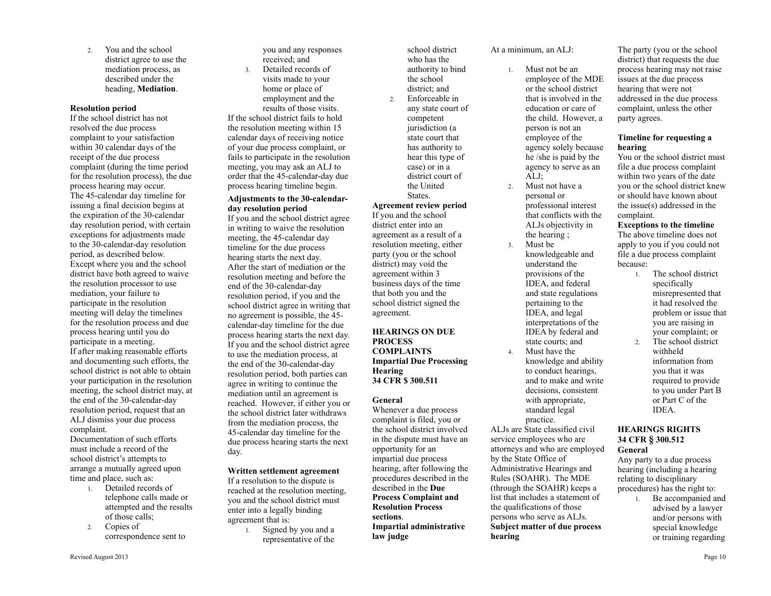2. You and the school district agree to use the mediation process, as described under the heading, **Mediation**.

#### **Resolution period**

If the school district has not resolved the due process complaint to your satisfaction within 30 calendar days of the receipt of the due process complaint (during the time period for the resolution process), the due process hearing may occur. The 45-calendar day timeline for issuing a final decision begins at the expiration of the 30-calendar day resolution period, with certain exceptions for adjustments made to the 30-calendar-day resolution period, as described below. Except where you and the school district have both agreed to waive the resolution processor to use mediation, your failure to participate in the resolution meeting will delay the timelines for the resolution process and due process hearing until you do participate in a meeting. If after making reasonable efforts and documenting such efforts, the school district is not able to obtain your participation in the resolution meeting, the school district may, at the end of the 30-calendar-day resolution period, request that an ALJ dismiss your due process complaint.

Documentation of such efforts must include a record of the school district's attempts to arrange a mutually agreed upon time and place, such as:

- 1. Detailed records of telephone calls made or attempted and the results of those calls;
- 2. Copies of correspondence sent to

you and any responses received; and

3. Detailed records of visits made to your home or place of employment and the results of those visits. If the school district fails to hold

the resolution meeting within 15 calendar days of receiving notice of your due process complaint, or fails to participate in the resolution meeting, you may ask an ALJ to order that the 45-calendar-day due process hearing timeline begin.

## **Adjustments to the 30-calendarday resolution period**

If you and the school district agree in writing to waive the resolution meeting, the 45-calendar day timeline for the due process hearing starts the next day. After the start of mediation or the resolution meeting and before the end of the 30-calendar-day resolution period, if you and the school district agree in writing that no agreement is possible, the 45 calendar-day timeline for the due process hearing starts the next day. If you and the school district agree to use the mediation process, at the end of the 30-calendar-day resolution period, both parties can agree in writing to continue the mediation until an agreement is reached. However, if either you or the school district later withdraws from the mediation process, the 45-calendar day timeline for the due process hearing starts the next day.

## **Written settlement agreement**

If a resolution to the dispute is reached at the resolution meeting, you and the school district must enter into a legally binding agreement that is:

> 1. Signed by you and a representative of the

school district who has the authority to bind the school district; and 2. Enforceable in any state court of competent jurisdiction (a state court that has authority to hear this type of case) or in a district court of the United States. **Agreement review period** If you and the school district enter into an

agreement as a result of a resolution meeting, either party (you or the school district) may void the agreement within 3 business days of the time that both you and the school district signed the agreement.

#### **HEARINGS ON DUE PROCESS COMPLAINTS Impartial Due Processing Hearing 34 CFR \$ 300.511**

#### **General**

Whenever a due process complaint is filed, you or the school district involved in the dispute must have an opportunity for an impartial due process hearing, after following the procedures described in the described in the **Due Process Complaint and Resolution Process sections**. **Impartial administrative law judge**

At a minimum, an ALJ:

- 1. Must not be an employee of the MDE or the school district that is involved in the education or care of the child. However, a person is not an employee of the agency solely because he /she is paid by the agency to serve as an ALJ;
- 2. Must not have a personal or professional interest that conflicts with the ALJs objectivity in the hearing ; 3. Must be
- knowledgeable and understand the provisions of the IDEA, and federal and state regulations pertaining to the IDEA, and legal interpretations of the IDEA by federal and state courts; and
- 4. Must have the knowledge and ability to conduct hearings, and to make and write decisions, consistent with appropriate, standard legal practice.

ALJs are State classified civil service employees who are attorneys and who are employed by the State Office of Administrative Hearings and Rules (SOAHR). The MDE (through the SOAHR) keeps a list that includes a statement of the qualifications of those persons who serve as ALJs. **Subject matter of due process hearing**

The party (you or the school district) that requests the due process hearing may not raise issues at the due process hearing that were not addressed in the due process complaint, unless the other party agrees.

#### **Timeline for requesting a hearing**

You or the school district must file a due process complaint within two years of the date you or the school district knew or should have known about the issue(s) addressed in the complaint.

## **Exceptions to the timeline**

The above timeline does not apply to you if you could not file a due process complaint because:

- 1. The school district specifically misrepresented that it had resolved the problem or issue that you are raising in your complaint; or
- 2. The school district withheld information from you that it was required to provide to you under Part B or Part C of the IDEA.

#### **HEARINGS RIGHTS 34 CFR § 300.512 General**

Any party to a due process hearing (including a hearing relating to disciplinary procedures) has the right to:

1. Be accompanied and advised by a lawyer and/or persons with special knowledge or training regarding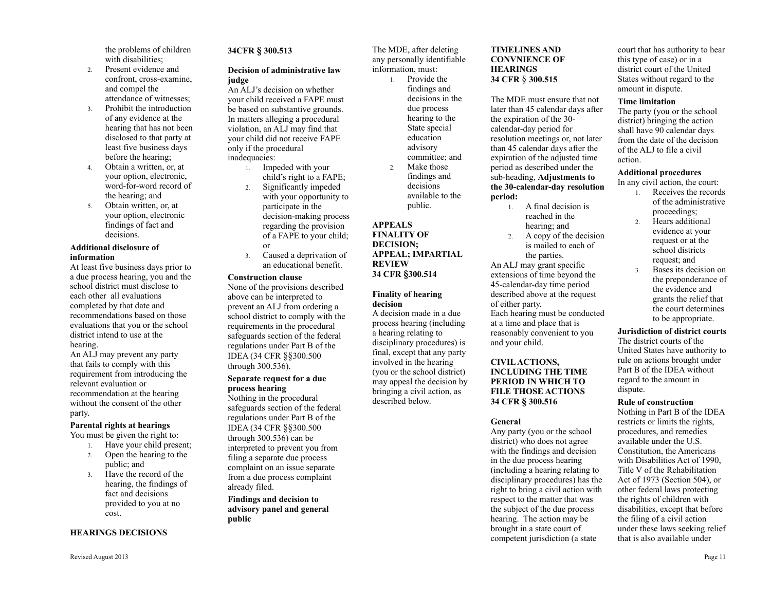the problems of children with disabilities;

- 2. Present evidence and confront, cross-examine, and compel the attendance of witnesses;
- 3. Prohibit the introduction of any evidence at the hearing that has not been disclosed to that party at least five business days before the hearing;
- 4. Obtain a written, or, at your option, electronic, word-for-word record of the hearing; and
- 5. Obtain written, or, at your option, electronic findings of fact and decisions.

## **Additional disclosure of information**

At least five business days prior to a due process hearing, you and the school district must disclose to each other all evaluations completed by that date and recommendations based on those evaluations that you or the school district intend to use at the hearing.

An ALJ may prevent any party that fails to comply with this requirement from introducing the relevant evaluation or recommendation at the hearing without the consent of the other party.

## **Parental rights at hearings**

You must be given the right to:

- 1. Have your child present;
- 2. Open the hearing to the public; and
- 3. Have the record of the hearing, the findings of fact and decisions provided to you at no cost.

## **HEARINGS DECISIONS**

## **34CFR § 300.513**

## **Decision of administrative law judge**

An ALJ's decision on whether your child received a FAPE must be based on substantive grounds. In matters alleging a procedural violation, an ALJ may find that your child did not receive FAPE only if the procedural inadequacies:

- 1. Impeded with your child's right to a FAPE;
- 2. Significantly impeded with your opportunity to participate in the decision-making process regarding the provision of a FAPE to your child; or
- 3. Caused a deprivation of an educational benefit.

## **Construction clause**

None of the provisions described above can be interpreted to prevent an ALJ from ordering a school district to comply with the requirements in the procedural safeguards section of the federal regulations under Part B of the IDEA (34 CFR §§300.500 through 300.536).

## **Separate request for a due process hearing**

Nothing in the procedural safeguards section of the federal regulations under Part B of the IDEA (34 CFR §§300.500 through 300.536) can be interpreted to prevent you from filing a separate due process complaint on an issue separate from a due process complaint already filed.

**Findings and decision to advisory panel and general public**

## The MDE, after deleting any personally identifiable information, must:

1. Provide the findings and decisions in the due process hearing to the State special education advisory committee; and 2. Make those findings and decisions available to the public.

## **APPEALS FINALITY OF DECISION; APPEAL; IMPARTIAL REVIEW 34 CFR §300.514**

## **Finality of hearing decision**

A decision made in a due process hearing (including a hearing relating to disciplinary procedures) is final, except that any party involved in the hearing (you or the school district) may appeal the decision by bringing a civil action, as described below.

### **TIMELINES AND CONVNIENCE OF HEARINGS 34 CFR** § **300.515**

The MDE must ensure that not later than 45 calendar days after the expiration of the 30 calendar-day period for resolution meetings or, not later than 45 calendar days after the expiration of the adjusted time period as described under the sub-heading, **Adjustments to the 30-calendar-day resolution period:**

- 1. A final decision is reached in the hearing; and
- 2. A copy of the decision is mailed to each of the parties.

An ALJ may grant specific extensions of time beyond the 45-calendar-day time period described above at the request of either party. Each hearing must be conducted at a time and place that is

reasonably convenient to you and your child.

## **CIVIL ACTIONS, INCLUDING THE TIME PERIOD IN WHICH TO FILE THOSE ACTIONS 34 CFR § 300.516**

## **General**

Any party (you or the school district) who does not agree with the findings and decision in the due process hearing (including a hearing relating to disciplinary procedures) has the right to bring a civil action with respect to the matter that was the subject of the due process hearing. The action may be brought in a state court of competent jurisdiction (a state

court that has authority to hear this type of case) or in a district court of the United States without regard to the amount in dispute.

## **Time limitation**

The party (you or the school district) bringing the action shall have 90 calendar days from the date of the decision of the ALJ to file a civil action.

## **Additional procedures**

In any civil action, the court:

- 1. Receives the records of the administrative proceedings;
- 2. Hears additional evidence at your request or at the school districts request; and
- 3. Bases its decision on the preponderance of the evidence and grants the relief that the court determines to be appropriate.

## **Jurisdiction of district courts**

The district courts of the United States have authority to rule on actions brought under Part B of the IDEA without regard to the amount in dispute.

## **Rule of construction**

Nothing in Part B of the IDEA restricts or limits the rights, procedures, and remedies available under the U.S. Constitution, the Americans with Disabilities Act of 1990, Title V of the Rehabilitation Act of 1973 (Section 504), or other federal laws protecting the rights of children with disabilities, except that before the filing of a civil action under these laws seeking relief that is also available under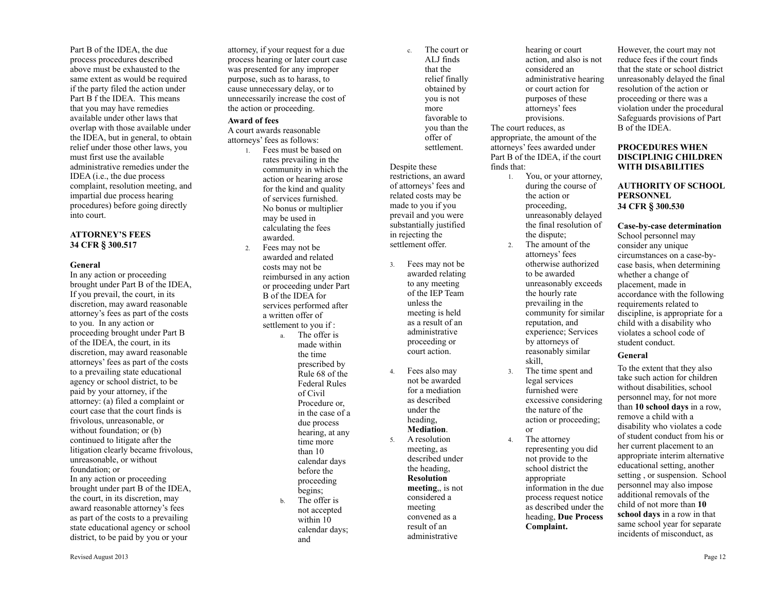Part B of the IDEA, the due process procedures described above must be exhausted to the same extent as would be required if the party filed the action under Part B f the IDEA. This means that you may have remedies available under other laws that overlap with those available under the IDEA, but in general, to obtain relief under those other laws, you must first use the available administrative remedies under the IDEA (i.e., the due process complaint, resolution meeting, and impartial due process hearing procedures) before going directly into court.

## **ATTORNEY'S FEES 34 CFR § 300.517**

#### **General**

In any action or proceeding brought under Part B of the IDEA, If you prevail, the court, in its discretion, may award reasonable attorney's fees as part of the costs to you. In any action or proceeding brought under Part B of the IDEA, the court, in its discretion, may award reasonable attorneys' fees as part of the costs to a prevailing state educational agency or school district, to be paid by your attorney, if the attorney: (a) filed a complaint or court case that the court finds is frivolous, unreasonable, or without foundation; or (b) continued to litigate after the litigation clearly became frivolous, unreasonable, or without foundation; or In any action or proceeding brought under part B of the IDEA, the court, in its discretion, may award reasonable attorney's fees as part of the costs to a prevailing state educational agency or school district, to be paid by you or your

attorney, if your request for a due process hearing or later court case was presented for any improper purpose, such as to harass, to cause unnecessary delay, or to unnecessarily increase the cost of the action or proceeding.

#### **Award of fees**

A court awards reasonable attorneys' fees as follows:

1. Fees must be based on rates prevailing in the community in which the action or hearing arose for the kind and quality of services furnished. No bonus or multiplier may be used in calculating the fees awarded.

2. Fees may not be awarded and related costs may not be reimbursed in any action or proceeding under Part B of the IDEA for services performed after a written offer of settlement to you if :

a. The offer is made within the time prescribed by Rule 68 of the Federal Rules of Civil Procedure or, in the case of a due process hearing, at any time more than 10 calendar days before the proceeding begins; b. The offer is not accepted within 10 calendar days; and

c. The court or ALJ finds that the relief finally obtained by you is not more favorable to you than the offer of settlement.

Despite these restrictions, an award of attorneys' fees and related costs may be made to you if you prevail and you were substantially justified in rejecting the settlement offer.

- 3. Fees may not be awarded relating to any meeting of the IEP Team unless the meeting is held as a result of an administrative proceeding or court action.
- 4. Fees also may not be awarded for a mediation as described under the heading, **Mediation**.
- 5. A resolution meeting, as described under the heading, **Resolution meeting**,, is not considered a meeting convened as a result of an administrative

hearing or court action, and also is not considered an administrative hearing or court action for purposes of these attorneys' fees provisions.

The court reduces, as appropriate, the amount of the attorneys' fees awarded under Part B of the IDEA, if the court finds that:

- 1. You, or your attorney, during the course of the action or proceeding, unreasonably delayed the final resolution of the dispute;
- 2. The amount of the attorneys' fees otherwise authorized to be awarded unreasonably exceeds the hourly rate prevailing in the community for similar reputation, and experience; Services by attorneys of reasonably similar skill,
- 3. The time spent and legal services furnished were excessive considering the nature of the action or proceeding; or 4. The attorney
	- representing you did not provide to the school district the appropriate information in the due process request notice as described under the heading, **Due Process Complaint.**

However, the court may not reduce fees if the court finds that the state or school district unreasonably delayed the final resolution of the action or proceeding or there was a violation under the procedural Safeguards provisions of Part B of the IDEA.

#### **PROCEDURES WHEN DISCIPLINIG CHILDREN WITH DISABILITIES**

## **AUTHORITY OF SCHOOL PERSONNEL 34 CFR § 300.530**

## **Case-by-case determination**

School personnel may consider any unique circumstances on a case-bycase basis, when determining whether a change of placement, made in accordance with the following requirements related to discipline, is appropriate for a child with a disability who violates a school code of student conduct.

## **General**

To the extent that they also take such action for children without disabilities, school personnel may, for not more than **10 school days** in a row, remove a child with a disability who violates a code of student conduct from his or her current placement to an appropriate interim alternative educational setting, another setting , or suspension. School personnel may also impose additional removals of the child of not more than **10 school days** in a row in that same school year for separate incidents of misconduct, as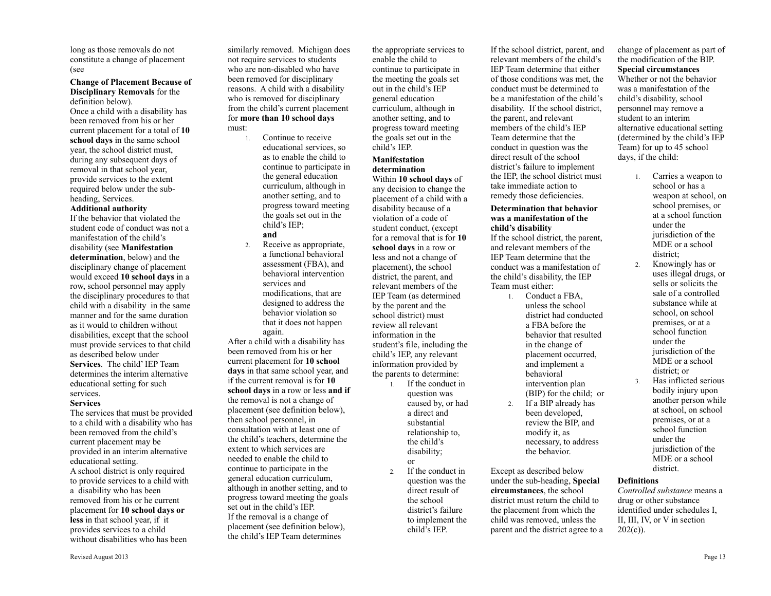long as those removals do not constitute a change of placement (see

## **Change of Placement Because of Disciplinary Removals** for the

definition below). Once a child with a disability has been removed from his or her current placement for a total of **10 school days** in the same school year, the school district must, during any subsequent days of removal in that school year, provide services to the extent required below under the subheading, Services.

## **Additional authority**

If the behavior that violated the student code of conduct was not a manifestation of the child's disability (see **Manifestation determination**, below) and the disciplinary change of placement would exceed **10 school days** in a row, school personnel may apply the disciplinary procedures to that child with a disability in the same manner and for the same duration as it would to children without disabilities, except that the school must provide services to that child as described below under **Services**. The child' IEP Team determines the interim alternative educational setting for such services.

## **Services**

The services that must be provided to a child with a disability who has been removed from the child's current placement may be provided in an interim alternative educational setting. A school district is only required to provide services to a child with a disability who has been removed from his or he current placement for **10 school days or less** in that school year, if it provides services to a child without disabilities who has been

similarly removed. Michigan does not require services to students who are non-disabled who have been removed for disciplinary reasons. A child with a disability who is removed for disciplinary from the child's current placement for **more than 10 school days** must:

- 1. Continue to receive educational services, so as to enable the child to continue to participate in the general education curriculum, although in another setting, and to progress toward meeting the goals set out in the child's IEP;
	- **and**
- 2. Receive as appropriate, a functional behavioral assessment (FBA), and behavioral intervention services and modifications, that are designed to address the behavior violation so that it does not happen again.

After a child with a disability has been removed from his or her current placement for **10 school days** in that same school year, and if the current removal is for **10 school days** in a row or less **and if** the removal is not a change of placement (see definition below), then school personnel, in consultation with at least one of the child's teachers, determine the extent to which services are needed to enable the child to continue to participate in the general education curriculum, although in another setting, and to progress toward meeting the goals set out in the child's IEP. If the removal is a change of placement (see definition below), the child's IEP Team determines

the appropriate services to enable the child to continue to participate in the meeting the goals set out in the child's IEP general education curriculum, although in another setting, and to progress toward meeting the goals set out in the child's IEP.

## **Manifestation determination**

Within **10 school days** of any decision to change the placement of a child with a disability because of a violation of a code of student conduct, (except for a removal that is for **10 school days** in a row or less and not a change of placement), the school district, the parent, and relevant members of the IEP Team (as determined by the parent and the school district) must review all relevant information in the student's file, including the child's IEP, any relevant information provided by the parents to determine: 1. If the conduct in

- question was caused by, or had a direct and substantial relationship to, the child's disability; or
- 2. If the conduct in question was the direct result of the school district's failure to implement the child's IEP.

If the school district, parent, and relevant members of the child's IEP Team determine that either of those conditions was met, the conduct must be determined to be a manifestation of the child's disability. If the school district, the parent, and relevant members of the child's IEP Team determine that the conduct in question was the direct result of the school district's failure to implement the IEP, the school district must take immediate action to remedy those deficiencies.

#### **Determination that behavior was a manifestation of the child's disability**

If the school district, the parent, and relevant members of the IEP Team determine that the conduct was a manifestation of the child's disability, the IEP Team must either:

1. Conduct a FBA, unless the school district had conducted a FBA before the behavior that resulted in the change of placement occurred, and implement a behavioral intervention plan (BIP) for the child; or 2. If a BIP already has been developed, review the BIP, and modify it, as necessary, to address the behavior.

Except as described below under the sub-heading, **Special circumstances**, the school district must return the child to the placement from which the child was removed, unless the parent and the district agree to a change of placement as part of the modification of the BIP. **Special circumstances** Whether or not the behavior was a manifestation of the child's disability, school personnel may remove a student to an interim alternative educational setting (determined by the child's IEP Team) for up to 45 school days, if the child:

- 1. Carries a weapon to school or has a weapon at school, on school premises, or at a school function under the jurisdiction of the MDE or a school district;
- 2. Knowingly has or uses illegal drugs, or sells or solicits the sale of a controlled substance while at school, on school premises, or at a school function under the jurisdiction of the MDE or a school district; or
- 3. Has inflicted serious bodily injury upon another person while at school, on school premises, or at a school function under the jurisdiction of the MDE or a school district.

#### **Definitions**

*Controlled substance* means a drug or other substance identified under schedules I, II, III, IV, or V in section  $202(c)$ ).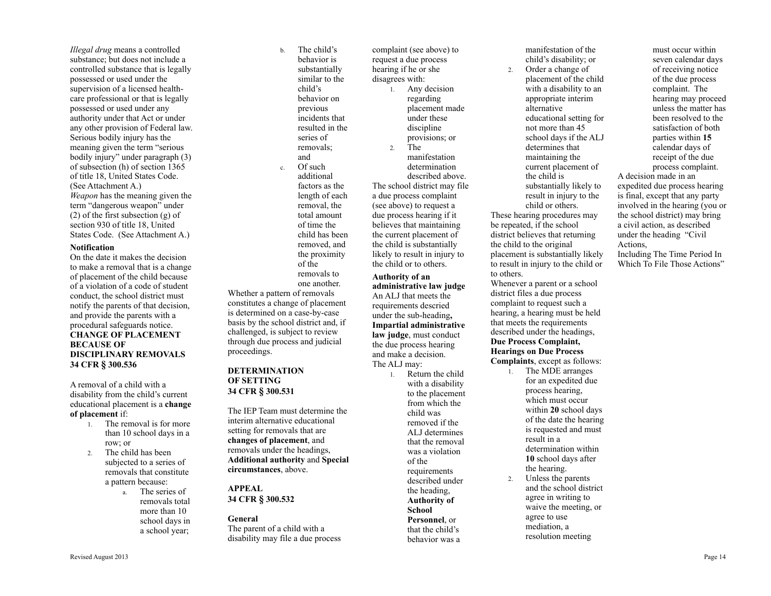*Illegal drug* means a controlled substance; but does not include a controlled substance that is legally possessed or used under the supervision of a licensed healthcare professional or that is legally possessed or used under any authority under that Act or under any other provision of Federal law. Serious bodily injury has the meaning given the term "serious bodily injury" under paragraph (3) of subsection (h) of section 1365 of title 18, United States Code. (See Attachment A.) *Weapon* has the meaning given the term "dangerous weapon" under (2) of the first subsection (g) of section 930 of title 18, United States Code. (See Attachment A.)

## **Notification**

On the date it makes the decision to make a removal that is a change of placement of the child because of a violation of a code of student conduct, the school district must notify the parents of that decision, and provide the parents with a procedural safeguards notice. **CHANGE OF PLACEMENT BECAUSE OF DISCIPLINARY REMOVALS 34 CFR § 300.536**

A removal of a child with a disability from the child's current educational placement is a **change of placement** if:

- 1. The removal is for more than 10 school days in a row; or
- 2. The child has been subjected to a series of removals that constitute a pattern because:
	- a. The series of removals total more than 10 school days in a school year;

b. The child's behavior is substantially similar to the child's behavior on previous incidents that resulted in the series of removals; and

c. Of such additional factors as the length of each removal, the total amount of time the child has been removed, and the proximity of the removals to one another.

Whether a pattern of removals constitutes a change of placement is determined on a case-by-case basis by the school district and, if challenged, is subject to review through due process and judicial proceedings.

## **DETERMINATION OF SETTING 34 CFR § 300.531**

The IEP Team must determine the interim alternative educational setting for removals that are **changes of placement**, and removals under the headings, **Additional authority** and **Special circumstances**, above.

**APPEAL 34 CFR § 300.532**

## **General**

The parent of a child with a disability may file a due process

complaint (see above) to request a due process hearing if he or she disagrees with:

1. Any decision regarding placement made under these discipline provisions; or 2. The

manifestation determination described above. The school district may file a due process complaint (see above) to request a due process hearing if it believes that maintaining the current placement of the child is substantially likely to result in injury to the child or to others.

- **Authority of an administrative law judge** An ALJ that meets the requirements descried under the sub-heading**, Impartial administrative law judge**, must conduct
- the due process hearing and make a decision. The ALJ may: 1. Return the child with a disability

to the placement from which the child was removed if the ALJ determines that the removal was a violation of the requirements described under the heading, **Authority of School Personnel**, or that the child's behavior was a

manifestation of the child's disability; or 2. Order a change of placement of the child with a disability to an appropriate interim alternative educational setting for not more than 45 school days if the ALJ determines that maintaining the current placement of the child is substantially likely to result in injury to the child or others. These hearing procedures may be repeated, if the school district believes that returning the child to the original placement is substantially likely to result in injury to the child or to others. Whenever a parent or a school district files a due process complaint to request such a hearing, a hearing must be held that meets the requirements described under the headings,

## **Due Process Complaint, Hearings on Due Process**

**Complaints**, except as follows:

- 1. The MDE arranges for an expedited due process hearing, which must occur within **20** school days of the date the hearing is requested and must result in a determination within **10** school days after the hearing.
- 2. Unless the parents and the school district agree in writing to waive the meeting, or agree to use mediation, a resolution meeting

must occur within seven calendar days of receiving notice of the due process complaint. The hearing may proceed unless the matter has been resolved to the satisfaction of both parties within **15** calendar days of receipt of the due process complaint.

A decision made in an expedited due process hearing is final, except that any party involved in the hearing (you or the school district) may bring a civil action, as described under the heading "Civil Actions, Including The Time Period In

Which To File Those Actions"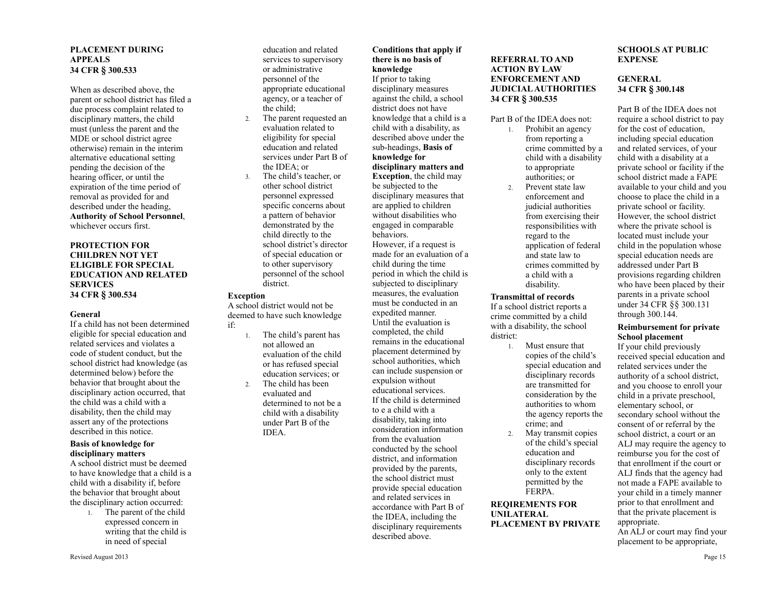## **PLACEMENT DURING APPEALS 34 CFR § 300.533**

When as described above, the parent or school district has filed a due process complaint related to disciplinary matters, the child must (unless the parent and the MDE or school district agree otherwise) remain in the interim alternative educational setting pending the decision of the hearing officer, or until the expiration of the time period of removal as provided for and described under the heading, **Authority of School Personnel**, whichever occurs first.

### **PROTECTION FOR CHILDREN NOT YET ELIGIBLE FOR SPECIAL EDUCATION AND RELATED SERVICES 34 CFR § 300.534**

#### **General**

If a child has not been determined eligible for special education and related services and violates a code of student conduct, but the school district had knowledge (as determined below) before the behavior that brought about the disciplinary action occurred, that the child was a child with a disability, then the child may assert any of the protections described in this notice.

#### **Basis of knowledge for disciplinary matters**

A school district must be deemed to have knowledge that a child is a child with a disability if, before the behavior that brought about the disciplinary action occurred:

> 1. The parent of the child expressed concern in writing that the child is in need of special

Revised August 2013 Page 15

education and related services to supervisory or administrative personnel of the appropriate educational agency, or a teacher of the child;

- 2. The parent requested an evaluation related to eligibility for special education and related services under Part B of the IDEA: or
- 3. The child's teacher, or other school district personnel expressed specific concerns about a pattern of behavior demonstrated by the child directly to the school district's director of special education or to other supervisory personnel of the school district.

#### **Exception**

if:

A school district would not be deemed to have such knowledge

- 1. The child's parent has not allowed an evaluation of the child or has refused special education services; or
- 2. The child has been evaluated and determined to not be a child with a disability under Part B of the IDEA.

#### **Conditions that apply if there is no basis of knowledge**

If prior to taking disciplinary measures against the child, a school district does not have

knowledge that a child is a child with a disability, as described above under the sub-headings, **Basis of knowledge for disciplinary matters and Exception**, the child may be subjected to the disciplinary measures that are applied to children without disabilities who

engaged in comparable behaviors. However, if a request is made for an evaluation of a child during the time period in which the child is

subjected to disciplinary measures, the evaluation must be conducted in an expedited manner. Until the evaluation is completed, the child remains in the educational placement determined by school authorities, which can include suspension or expulsion without educational services. If the child is determined to e a child with a disability, taking into consideration information from the evaluation conducted by the school district, and information provided by the parents, the school district must provide special education and related services in accordance with Part B of the IDEA, including the disciplinary requirements described above.

## **REFERRAL TO AND ACTION BY LAW ENFORCEMENT AND JUDICIAL AUTHORITIES 34 CFR § 300.535**

Part B of the IDEA does not:

- 1. Prohibit an agency from reporting a crime committed by a child with a disability to appropriate authorities; or
- 2. Prevent state law enforcement and judicial authorities from exercising their responsibilities with regard to the application of federal and state law to crimes committed by a child with a disability.

#### **Transmittal of records**

If a school district reports a crime committed by a child with a disability, the school district:

- 1. Must ensure that copies of the child's special education and disciplinary records are transmitted for consideration by the authorities to whom the agency reports the crime; and
- 2. May transmit copies of the child's special education and disciplinary records only to the extent permitted by the FERPA.

**REQIREMENTS FOR UNILATERAL PLACEMENT BY PRIVATE** 

## **SCHOOLS AT PUBLIC EXPENSE**

## **GENERAL 34 CFR § 300.148**

Part B of the IDEA does not require a school district to pay for the cost of education, including special education and related services, of your child with a disability at a private school or facility if the school district made a FAPE available to your child and you choose to place the child in a private school or facility. However, the school district where the private school is located must include your child in the population whose special education needs are addressed under Part B provisions regarding children who have been placed by their parents in a private school under 34 CFR §§ 300.131 through 300.144.

## **Reimbursement for private School placement**

If your child previously received special education and related services under the authority of a school district, and you choose to enroll your child in a private preschool, elementary school, or secondary school without the consent of or referral by the school district, a court or an ALJ may require the agency to reimburse you for the cost of that enrollment if the court or ALJ finds that the agency had not made a FAPE available to your child in a timely manner prior to that enrollment and that the private placement is appropriate.

An ALJ or court may find your placement to be appropriate,